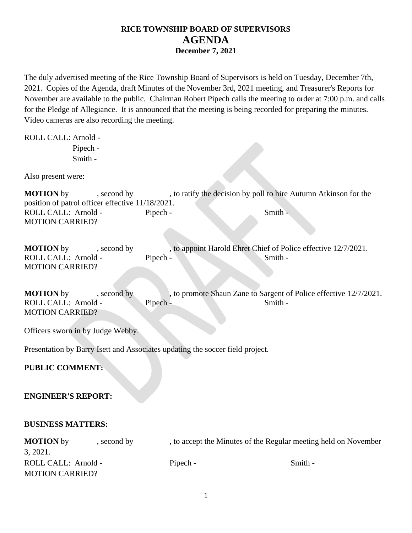The duly advertised meeting of the Rice Township Board of Supervisors is held on Tuesday, December 7th, 2021. Copies of the Agenda, draft Minutes of the November 3rd, 2021 meeting, and Treasurer's Reports for November are available to the public. Chairman Robert Pipech calls the meeting to order at 7:00 p.m. and calls for the Pledge of Allegiance. It is announced that the meeting is being recorded for preparing the minutes. Video cameras are also recording the meeting.

ROLL CALL: Arnold -

Pipech - Smith -

Also present were:

**MOTION** by , second by , to ratify the decision by poll to hire Autumn Atkinson for the position of patrol officer effective 11/18/2021. ROLL CALL: Arnold - Pipech - Smith -MOTION CARRIED?

**MOTION** by second by , to appoint Harold Ehret Chief of Police effective 12/7/2021. ROLL CALL: Arnold - Pipech - Smith -MOTION CARRIED?

**MOTION** by , second by , to promote Shaun Zane to Sargent of Police effective 12/7/2021. ROLL CALL: Arnold - Pipech - Smith -MOTION CARRIED?

Officers sworn in by Judge Webby.

Presentation by Barry Isett and Associates updating the soccer field project.

**PUBLIC COMMENT:**

### **ENGINEER'S REPORT:**

### **BUSINESS MATTERS:**

| <b>MOTION</b> by       | , second by | , to accept the Minutes of the Regular meeting held on November |         |  |
|------------------------|-------------|-----------------------------------------------------------------|---------|--|
| 3, 2021.               |             |                                                                 |         |  |
| ROLL CALL: Arnold -    |             | Pipech -                                                        | Smith - |  |
| <b>MOTION CARRIED?</b> |             |                                                                 |         |  |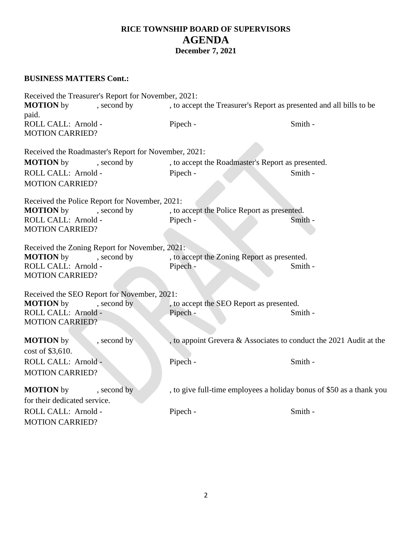### **BUSINESS MATTERS Cont.:**

Received the Treasurer's Report for November, 2021: **MOTION** by , second by , to accept the Treasurer's Report as presented and all bills to be paid. ROLL CALL: Arnold - Pipech - Smith -MOTION CARRIED? Received the Roadmaster's Report for November, 2021: **MOTION** by , second by , to accept the Roadmaster's Report as presented. ROLL CALL: Arnold - Pipech - Smith - Smith -MOTION CARRIED? Received the Police Report for November, 2021: **MOTION** by , second by , to accept the Police Report as presented. ROLL CALL: Arnold - Pipech - Smith -MOTION CARRIED? Received the Zoning Report for November, 2021: **MOTION** by , second by , to accept the Zoning Report as presented. ROLL CALL: Arnold - Pipech - Smith -MOTION CARRIED? Received the SEO Report for November, 2021: **MOTION** by , second by , to accept the SEO Report as presented. ROLL CALL: Arnold - Pipech - Smith -MOTION CARRIED? **MOTION** by , second by , to appoint Grevera & Associates to conduct the 2021 Audit at the cost of \$3,610. ROLL CALL: Arnold - Pipech - Smith -MOTION CARRIED? **MOTION** by second by , to give full-time employees a holiday bonus of \$50 as a thank you for their dedicated service. ROLL CALL: Arnold - Pipech - Smith -MOTION CARRIED?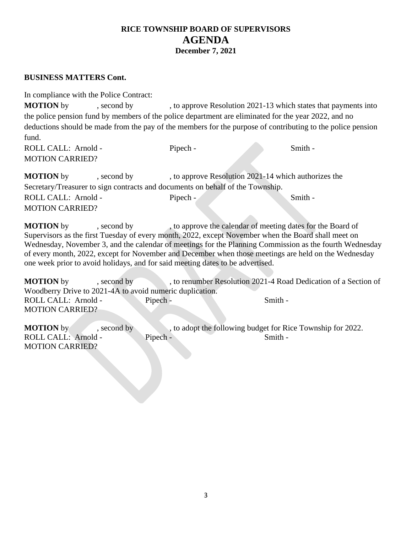### **BUSINESS MATTERS Cont.**

In compliance with the Police Contract:

**MOTION** by , second by , to approve Resolution 2021-13 which states that payments into the police pension fund by members of the police department are eliminated for the year 2022, and no deductions should be made from the pay of the members for the purpose of contributing to the police pension fund.

ROLL CALL: Arnold - Pipech - Smith -MOTION CARRIED? **MOTION** by , second by , to approve Resolution 2021-14 which authorizes the

Secretary/Treasurer to sign contracts and documents on behalf of the Township. ROLL CALL: Arnold - Pipech - Smith -MOTION CARRIED?

**MOTION** by , second by , to approve the calendar of meeting dates for the Board of Supervisors as the first Tuesday of every month, 2022, except November when the Board shall meet on Wednesday, November 3, and the calendar of meetings for the Planning Commission as the fourth Wednesday of every month, 2022, except for November and December when those meetings are held on the Wednesday one week prior to avoid holidays, and for said meeting dates to be advertised.

**MOTION** by , second by , to renumber Resolution 2021-4 Road Dedication of a Section of Woodberry Drive to 2021-4A to avoid numeric duplication. ROLL CALL: Arnold - Pipech - Smith -MOTION CARRIED?

**MOTION** by , second by , to adopt the following budget for Rice Township for 2022. ROLL CALL: Arnold - Pipech - Smith -MOTION CARRIED?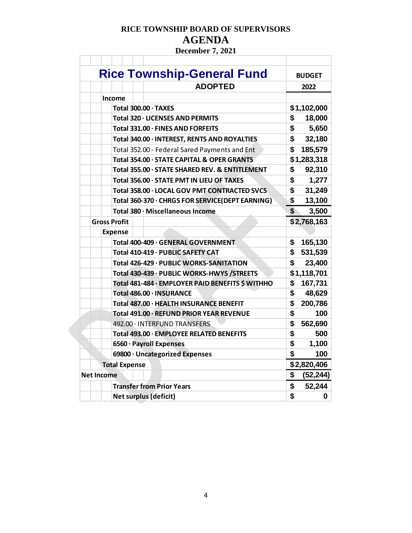# **RICE TOWNSHIP BOARD OF SUPERVISORS AGENDA**

**December 7, 2021**

| <b>Rice Township-General Fund</b>                | <b>BUDGET</b>                      |
|--------------------------------------------------|------------------------------------|
| <b>ADOPTED</b>                                   | 2022                               |
| <b>Income</b>                                    |                                    |
| Total 300.00 · TAXES                             | \$1,102,000                        |
| Total 320 · LICENSES AND PERMITS                 | \$<br>18,000                       |
| Total 331.00 · FINES AND FORFEITS                | \$<br>5,650                        |
| Total 340.00 · INTEREST, RENTS AND ROYALTIES     | \$<br>32,180                       |
| Total 352.00 - Federal Sared Payments and Ent    | \$<br>185,579                      |
| Total 354.00 · STATE CAPITAL & OPER GRANTS       | \$1,283,318                        |
| Total 355.00 · STATE SHARED REV. & ENTITLEMENT   | \$<br>92,310                       |
| Total 356.00 · STATE PMT IN LIEU OF TAXES        | \$<br>1,277                        |
| Total 358.00 · LOCAL GOV PMT CONTRACTED SVCS     | \$<br>31,249                       |
| Total 360-370 · CHRGS FOR SERVICE(DEPT EARNING)  | \$<br>13,100                       |
| Total 380 · Miscellaneous Income                 | $\boldsymbol{\mathsf{s}}$<br>3,500 |
| <b>Gross Profit</b>                              | \$2,768,163                        |
| <b>Expense</b>                                   |                                    |
| Total 400-409 · GENERAL GOVERNMENT               | \$<br>165,130                      |
| Total 410-419 · PUBLIC SAFETY CAT                | \$<br>531,539                      |
| Total 426-429 · PUBLIC WORKS-SANITATION          | \$<br>23,400                       |
| Total 430-439 · PUBLIC WORKS-HWYS /STREETS       | \$1,118,701                        |
| Total 481-484 · EMPLOYER PAID BENEFITS \$ WITHHO | \$<br>167,731                      |
| Total 486.00 · INSURANCE                         | \$<br>48,629                       |
| Total 487.00 · HEALTH INSURANCE BENEFIT          | \$<br>200,786                      |
| Total 491.00 · REFUND PRIOR YEAR REVENUE         | \$<br>100                          |
| 492.00 · INTERFUND TRANSFERS                     | \$<br>562,690                      |
| Total 493.00 · EMPLOYEE RELATED BENEFITS         | \$<br>500                          |
| 6560 · Payroll Expenses                          | \$<br>1,100                        |
| 69800 · Uncategorized Expenses                   | \$<br>100                          |
| <b>Total Expense</b>                             | \$2,820,406                        |
| <b>Net Income</b>                                | \$<br>(52, 244)                    |
| <b>Transfer from Prior Years</b>                 | \$<br>52,244                       |
| <b>Net surplus (deficit)</b>                     | \$                                 |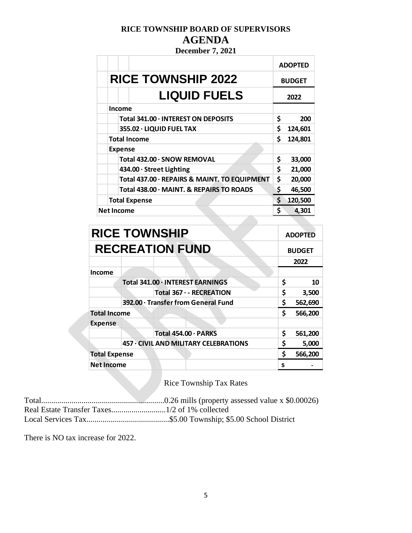## **RICE TOWNSHIP BOARD OF SUPERVISORS AGENDA**

**December 7, 2021**

|                                              |    | <b>ADOPTED</b> |
|----------------------------------------------|----|----------------|
| <b>RICE TOWNSHIP 2022</b>                    |    | <b>BUDGET</b>  |
| <b>LIQUID FUELS</b>                          |    | 2022           |
| <b>Income</b>                                |    |                |
| Total 341.00 · INTEREST ON DEPOSITS          | \$ | 200            |
| 355.02 · LIQUID FUEL TAX                     | \$ | 124,601        |
| <b>Total Income</b>                          | \$ | 124,801        |
| <b>Expense</b>                               |    |                |
| Total 432.00 · SNOW REMOVAL                  | \$ | 33,000         |
| 434.00 · Street Lighting                     | \$ | 21,000         |
| Total 437.00 · REPAIRS & MAINT. TO EQUIPMENT | \$ | 20,000         |
| Total 438.00 · MAINT. & REPAIRS TO ROADS     | \$ | 46,500         |
| <b>Total Expense</b>                         |    | 120,500        |
| <b>Net Income</b>                            |    | 4,301          |

|                                     |  | <b>RICE TOWNSHIP</b>                         |    | <b>ADOPTED</b> |
|-------------------------------------|--|----------------------------------------------|----|----------------|
|                                     |  | <b>RECREATION FUND</b>                       |    | <b>BUDGET</b>  |
|                                     |  |                                              |    | 2022           |
| Income                              |  |                                              |    |                |
|                                     |  | Total 341.00 · INTEREST EARNINGS             | \$ | 10             |
|                                     |  | Total 367 · - RECREATION                     | \$ | 3,500          |
| 392.00 · Transfer from General Fund |  |                                              |    | 562,690        |
| <b>Total Income</b>                 |  |                                              | \$ | 566,200        |
| <b>Expense</b>                      |  |                                              |    |                |
|                                     |  | Total 454.00 · PARKS                         | \$ | 561,200        |
|                                     |  | <b>457 · CIVIL AND MILITARY CELEBRATIONS</b> | \$ | 5,000          |
| <b>Total Expense</b>                |  |                                              | Ś  | 566,200        |
| <b>Net Income</b>                   |  |                                              | \$ |                |

Rice Township Tax Rates

Total.............................................................0.26 mills (property assessed value x \$0.00026) Real Estate Transfer Taxes...........................1/2 of 1% collected Local Services Tax.........................................\$5.00 Township; \$5.00 School District

There is NO tax increase for 2022.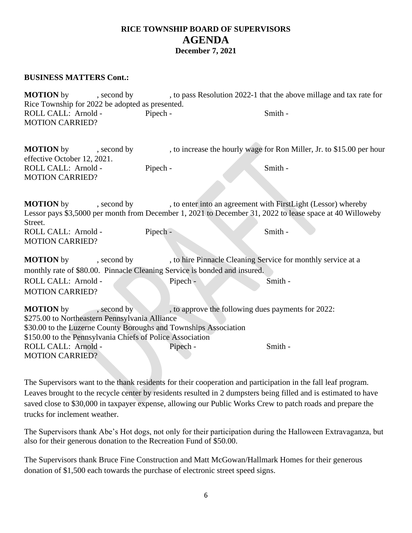### **BUSINESS MATTERS Cont.:**

**MOTION** by , second by , to pass Resolution 2022-1 that the above millage and tax rate for Rice Township for 2022 be adopted as presented. ROLL CALL: Arnold - Pipech - Smith -MOTION CARRIED?

| <b>MOTION</b> by            | , second by |          |         | , to increase the hourly wage for Ron Miller, Jr. to \$15.00 per hour |
|-----------------------------|-------------|----------|---------|-----------------------------------------------------------------------|
| effective October 12, 2021. |             |          |         |                                                                       |
| ROLL CALL: Arnold -         |             | Pipech - | Smith - |                                                                       |
| <b>MOTION CARRIED?</b>      |             |          |         |                                                                       |

**MOTION** by , second by , to enter into an agreement with FirstLight (Lessor) whereby Lessor pays \$3,5000 per month from December 1, 2021 to December 31, 2022 to lease space at 40 Willoweby Street. ROLL CALL: Arnold - Pipech - Smith -MOTION CARRIED?

| <b>MOTION</b> by       | , second by                                                               |          | , to hire Pinnacle Cleaning Service for monthly service at a |
|------------------------|---------------------------------------------------------------------------|----------|--------------------------------------------------------------|
|                        | monthly rate of \$80.00. Pinnacle Cleaning Service is bonded and insured. |          |                                                              |
| ROLL CALL: Arnold -    |                                                                           | Pipech - | Smith -                                                      |
| <b>MOTION CARRIED?</b> |                                                                           |          |                                                              |

**MOTION** by , second by , to approve the following dues payments for 2022: \$275.00 to Northeastern Pennsylvania Alliance \$30.00 to the Luzerne County Boroughs and Townships Association \$150.00 to the Pennsylvania Chiefs of Police Association ROLL CALL: Arnold - Pipech - Smith -MOTION CARRIED?

The Supervisors want to the thank residents for their cooperation and participation in the fall leaf program. Leaves brought to the recycle center by residents resulted in 2 dumpsters being filled and is estimated to have saved close to \$30,000 in taxpayer expense, allowing our Public Works Crew to patch roads and prepare the trucks for inclement weather.

The Supervisors thank Abe's Hot dogs, not only for their participation during the Halloween Extravaganza, but also for their generous donation to the Recreation Fund of \$50.00.

The Supervisors thank Bruce Fine Construction and Matt McGowan/Hallmark Homes for their generous donation of \$1,500 each towards the purchase of electronic street speed signs.